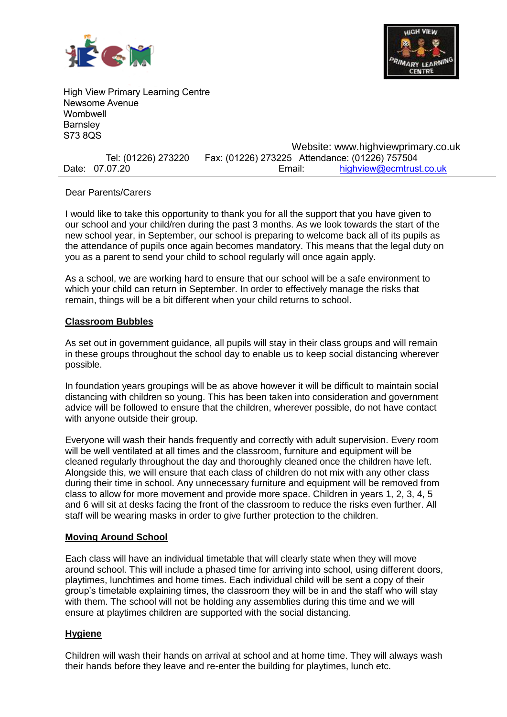



High View Primary Learning Centre Newsome Avenue Wombwell **Barnsley** S73 8QS

|                     | Website: www.highviewprimary.co.uk             |                         |
|---------------------|------------------------------------------------|-------------------------|
| Tel: (01226) 273220 | Fax: (01226) 273225 Attendance: (01226) 757504 |                         |
| Date: 07.07.20      | Email:                                         | highview@ecmtrust.co.uk |

#### Dear Parents/Carers

I would like to take this opportunity to thank you for all the support that you have given to our school and your child/ren during the past 3 months. As we look towards the start of the new school year, in September, our school is preparing to welcome back all of its pupils as the attendance of pupils once again becomes mandatory. This means that the legal duty on you as a parent to send your child to school regularly will once again apply.

As a school, we are working hard to ensure that our school will be a safe environment to which your child can return in September. In order to effectively manage the risks that remain, things will be a bit different when your child returns to school.

#### **Classroom Bubbles**

As set out in government guidance, all pupils will stay in their class groups and will remain in these groups throughout the school day to enable us to keep social distancing wherever possible.

In foundation years groupings will be as above however it will be difficult to maintain social distancing with children so young. This has been taken into consideration and government advice will be followed to ensure that the children, wherever possible, do not have contact with anyone outside their group.

Everyone will wash their hands frequently and correctly with adult supervision. Every room will be well ventilated at all times and the classroom, furniture and equipment will be cleaned regularly throughout the day and thoroughly cleaned once the children have left. Alongside this, we will ensure that each class of children do not mix with any other class during their time in school. Any unnecessary furniture and equipment will be removed from class to allow for more movement and provide more space. Children in years 1, 2, 3, 4, 5 and 6 will sit at desks facing the front of the classroom to reduce the risks even further. All staff will be wearing masks in order to give further protection to the children.

### **Moving Around School**

Each class will have an individual timetable that will clearly state when they will move around school. This will include a phased time for arriving into school, using different doors, playtimes, lunchtimes and home times. Each individual child will be sent a copy of their group's timetable explaining times, the classroom they will be in and the staff who will stay with them. The school will not be holding any assemblies during this time and we will ensure at playtimes children are supported with the social distancing.

### **Hygiene**

Children will wash their hands on arrival at school and at home time. They will always wash their hands before they leave and re-enter the building for playtimes, lunch etc.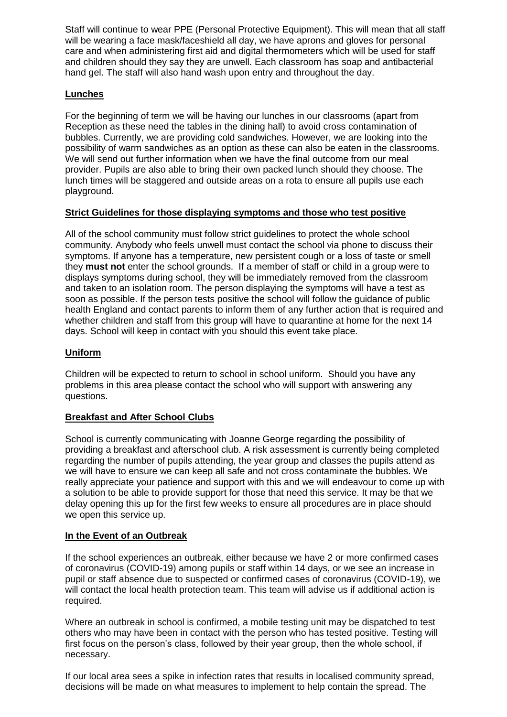Staff will continue to wear PPE (Personal Protective Equipment). This will mean that all staff will be wearing a face mask/faceshield all day, we have aprons and gloves for personal care and when administering first aid and digital thermometers which will be used for staff and children should they say they are unwell. Each classroom has soap and antibacterial hand gel. The staff will also hand wash upon entry and throughout the day.

# **Lunches**

For the beginning of term we will be having our lunches in our classrooms (apart from Reception as these need the tables in the dining hall) to avoid cross contamination of bubbles. Currently, we are providing cold sandwiches. However, we are looking into the possibility of warm sandwiches as an option as these can also be eaten in the classrooms. We will send out further information when we have the final outcome from our meal provider. Pupils are also able to bring their own packed lunch should they choose. The lunch times will be staggered and outside areas on a rota to ensure all pupils use each playground.

## **Strict Guidelines for those displaying symptoms and those who test positive**

All of the school community must follow strict guidelines to protect the whole school community. Anybody who feels unwell must contact the school via phone to discuss their symptoms. If anyone has a temperature, new persistent cough or a loss of taste or smell they **must not** enter the school grounds. If a member of staff or child in a group were to displays symptoms during school, they will be immediately removed from the classroom and taken to an isolation room. The person displaying the symptoms will have a test as soon as possible. If the person tests positive the school will follow the guidance of public health England and contact parents to inform them of any further action that is required and whether children and staff from this group will have to quarantine at home for the next 14 days. School will keep in contact with you should this event take place.

## **Uniform**

Children will be expected to return to school in school uniform. Should you have any problems in this area please contact the school who will support with answering any questions.

# **Breakfast and After School Clubs**

School is currently communicating with Joanne George regarding the possibility of providing a breakfast and afterschool club. A risk assessment is currently being completed regarding the number of pupils attending, the year group and classes the pupils attend as we will have to ensure we can keep all safe and not cross contaminate the bubbles. We really appreciate your patience and support with this and we will endeavour to come up with a solution to be able to provide support for those that need this service. It may be that we delay opening this up for the first few weeks to ensure all procedures are in place should we open this service up.

### **In the Event of an Outbreak**

If the school experiences an outbreak, either because we have 2 or more confirmed cases of coronavirus (COVID-19) among pupils or staff within 14 days, or we see an increase in pupil or staff absence due to suspected or confirmed cases of coronavirus (COVID-19), we will contact the local health protection team. This team will advise us if additional action is required.

Where an outbreak in school is confirmed, a mobile testing unit may be dispatched to test others who may have been in contact with the person who has tested positive. Testing will first focus on the person's class, followed by their year group, then the whole school, if necessary.

If our local area sees a spike in infection rates that results in localised community spread, decisions will be made on what measures to implement to help contain the spread. The